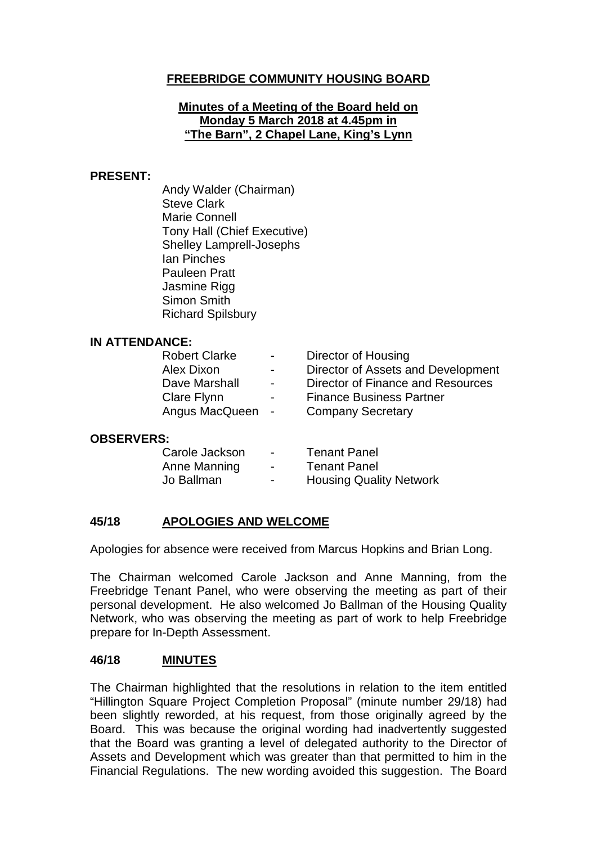# **FREEBRIDGE COMMUNITY HOUSING BOARD**

### **Minutes of a Meeting of the Board held on Monday 5 March 2018 at 4.45pm in "The Barn", 2 Chapel Lane, King's Lynn**

### **PRESENT:**

Andy Walder (Chairman) Steve Clark Marie Connell Tony Hall (Chief Executive) Shelley Lamprell-Josephs Ian Pinches Pauleen Pratt Jasmine Rigg Simon Smith Richard Spilsbury

### **IN ATTENDANCE:**

| <b>Contract Contract</b> | Director of Housing                |
|--------------------------|------------------------------------|
| $\blacksquare$           | Director of Assets and Development |
| $\blacksquare$           | Director of Finance and Resources  |
| $\blacksquare$           | <b>Finance Business Partner</b>    |
| Angus MacQueen -         | <b>Company Secretary</b>           |
|                          |                                    |

#### **OBSERVERS:**

| Carole Jackson | $\blacksquare$           | <b>Tenant Panel</b>            |
|----------------|--------------------------|--------------------------------|
| Anne Manning   | $\blacksquare$           | <b>Tenant Panel</b>            |
| Jo Ballman     | $\overline{\phantom{0}}$ | <b>Housing Quality Network</b> |

# **45/18 APOLOGIES AND WELCOME**

Apologies for absence were received from Marcus Hopkins and Brian Long.

The Chairman welcomed Carole Jackson and Anne Manning, from the Freebridge Tenant Panel, who were observing the meeting as part of their personal development. He also welcomed Jo Ballman of the Housing Quality Network, who was observing the meeting as part of work to help Freebridge prepare for In-Depth Assessment.

#### **46/18 MINUTES**

The Chairman highlighted that the resolutions in relation to the item entitled "Hillington Square Project Completion Proposal" (minute number 29/18) had been slightly reworded, at his request, from those originally agreed by the Board. This was because the original wording had inadvertently suggested that the Board was granting a level of delegated authority to the Director of Assets and Development which was greater than that permitted to him in the Financial Regulations. The new wording avoided this suggestion. The Board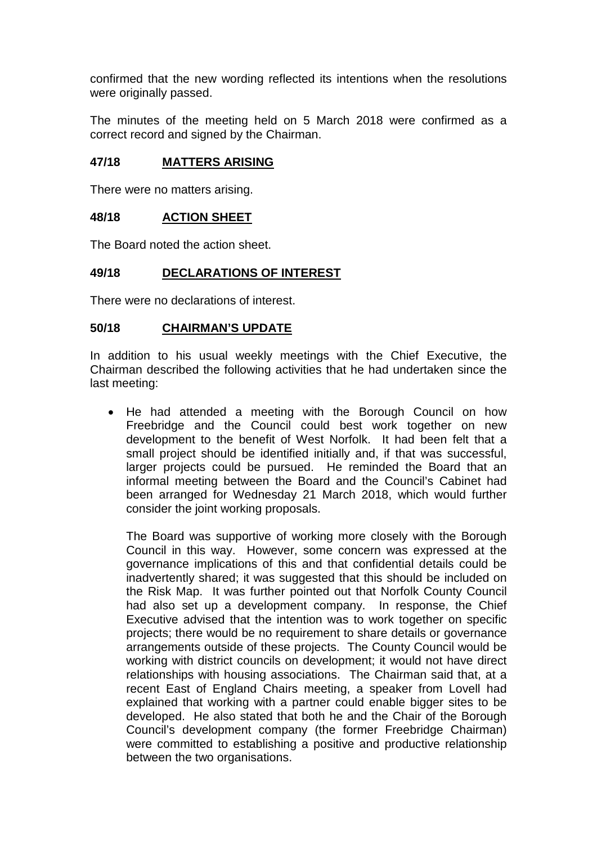confirmed that the new wording reflected its intentions when the resolutions were originally passed.

The minutes of the meeting held on 5 March 2018 were confirmed as a correct record and signed by the Chairman.

### **47/18 MATTERS ARISING**

There were no matters arising.

### **48/18 ACTION SHEET**

The Board noted the action sheet.

### **49/18 DECLARATIONS OF INTEREST**

There were no declarations of interest.

### **50/18 CHAIRMAN'S UPDATE**

In addition to his usual weekly meetings with the Chief Executive, the Chairman described the following activities that he had undertaken since the last meeting:

• He had attended a meeting with the Borough Council on how Freebridge and the Council could best work together on new development to the benefit of West Norfolk. It had been felt that a small project should be identified initially and, if that was successful, larger projects could be pursued. He reminded the Board that an informal meeting between the Board and the Council's Cabinet had been arranged for Wednesday 21 March 2018, which would further consider the joint working proposals.

The Board was supportive of working more closely with the Borough Council in this way. However, some concern was expressed at the governance implications of this and that confidential details could be inadvertently shared; it was suggested that this should be included on the Risk Map. It was further pointed out that Norfolk County Council had also set up a development company. In response, the Chief Executive advised that the intention was to work together on specific projects; there would be no requirement to share details or governance arrangements outside of these projects. The County Council would be working with district councils on development; it would not have direct relationships with housing associations. The Chairman said that, at a recent East of England Chairs meeting, a speaker from Lovell had explained that working with a partner could enable bigger sites to be developed. He also stated that both he and the Chair of the Borough Council's development company (the former Freebridge Chairman) were committed to establishing a positive and productive relationship between the two organisations.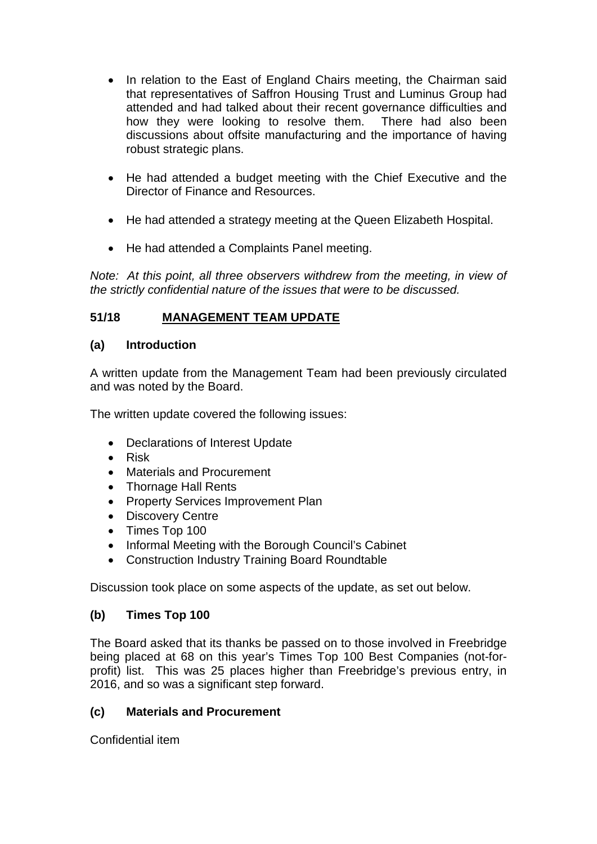- In relation to the East of England Chairs meeting, the Chairman said that representatives of Saffron Housing Trust and Luminus Group had attended and had talked about their recent governance difficulties and how they were looking to resolve them. There had also been discussions about offsite manufacturing and the importance of having robust strategic plans.
- He had attended a budget meeting with the Chief Executive and the Director of Finance and Resources.
- He had attended a strategy meeting at the Queen Elizabeth Hospital.
- He had attended a Complaints Panel meeting.

*Note:* At this point, all three observers withdrew from the meeting, in view of *the strictly confidential nature of the issues that were to be discussed.*

# **51/18 MANAGEMENT TEAM UPDATE**

## **(a) Introduction**

A written update from the Management Team had been previously circulated and was noted by the Board.

The written update covered the following issues:

- Declarations of Interest Update
- Risk
- Materials and Procurement
- Thornage Hall Rents
- Property Services Improvement Plan
- Discovery Centre
- Times Top 100
- Informal Meeting with the Borough Council's Cabinet
- Construction Industry Training Board Roundtable

Discussion took place on some aspects of the update, as set out below.

### **(b) Times Top 100**

The Board asked that its thanks be passed on to those involved in Freebridge being placed at 68 on this year's Times Top 100 Best Companies (not-forprofit) list. This was 25 places higher than Freebridge's previous entry, in 2016, and so was a significant step forward.

### **(c) Materials and Procurement**

Confidential item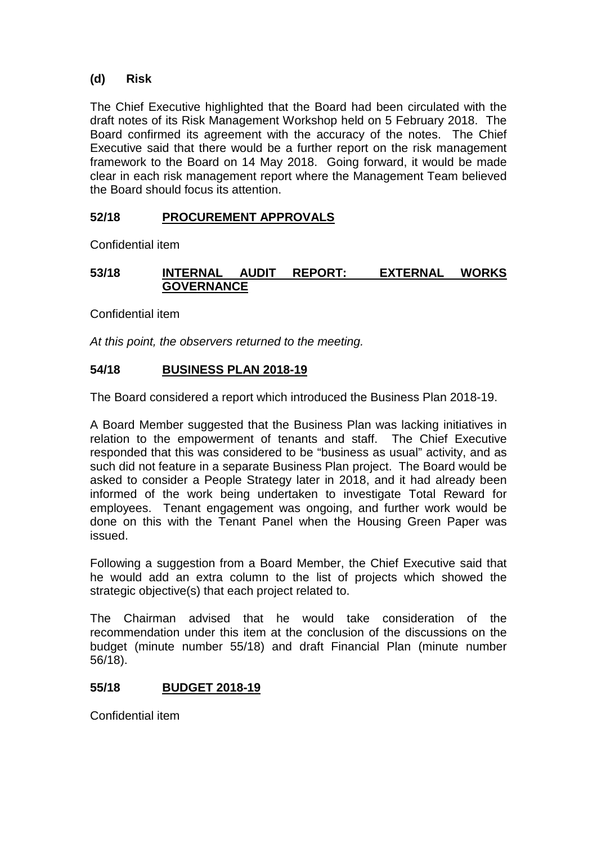## **(d) Risk**

The Chief Executive highlighted that the Board had been circulated with the draft notes of its Risk Management Workshop held on 5 February 2018. The Board confirmed its agreement with the accuracy of the notes. The Chief Executive said that there would be a further report on the risk management framework to the Board on 14 May 2018. Going forward, it would be made clear in each risk management report where the Management Team believed the Board should focus its attention.

# **52/18 PROCUREMENT APPROVALS**

Confidential item

## **53/18 INTERNAL AUDIT REPORT: EXTERNAL WORKS GOVERNANCE**

Confidential item

*At this point, the observers returned to the meeting.*

## **54/18 BUSINESS PLAN 2018-19**

The Board considered a report which introduced the Business Plan 2018-19.

A Board Member suggested that the Business Plan was lacking initiatives in relation to the empowerment of tenants and staff. The Chief Executive responded that this was considered to be "business as usual" activity, and as such did not feature in a separate Business Plan project. The Board would be asked to consider a People Strategy later in 2018, and it had already been informed of the work being undertaken to investigate Total Reward for employees. Tenant engagement was ongoing, and further work would be done on this with the Tenant Panel when the Housing Green Paper was issued.

Following a suggestion from a Board Member, the Chief Executive said that he would add an extra column to the list of projects which showed the strategic objective(s) that each project related to.

The Chairman advised that he would take consideration of the recommendation under this item at the conclusion of the discussions on the budget (minute number 55/18) and draft Financial Plan (minute number 56/18).

## **55/18 BUDGET 2018-19**

Confidential item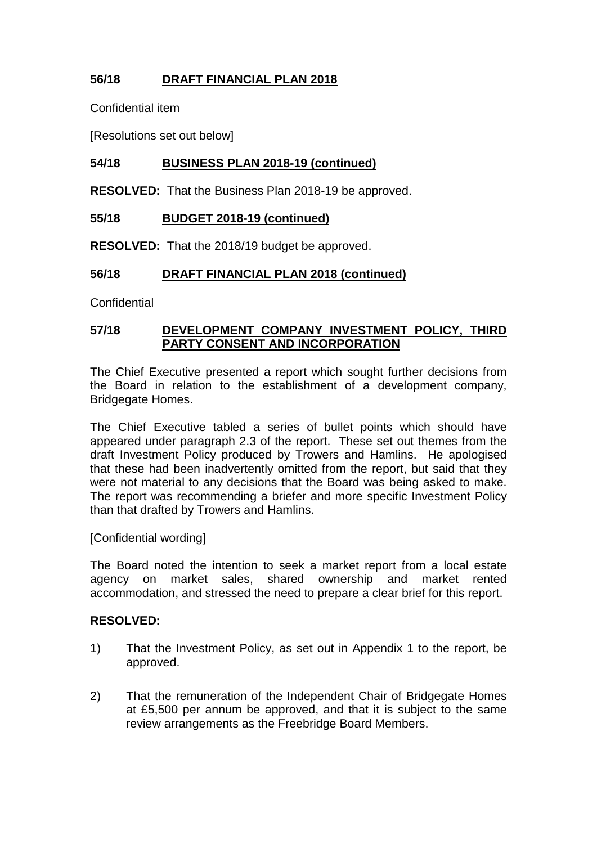# **56/18 DRAFT FINANCIAL PLAN 2018**

Confidential item

[Resolutions set out below]

## **54/18 BUSINESS PLAN 2018-19 (continued)**

**RESOLVED:** That the Business Plan 2018-19 be approved.

## **55/18 BUDGET 2018-19 (continued)**

**RESOLVED:** That the 2018/19 budget be approved.

## **56/18 DRAFT FINANCIAL PLAN 2018 (continued)**

**Confidential** 

### **57/18 DEVELOPMENT COMPANY INVESTMENT POLICY, THIRD PARTY CONSENT AND INCORPORATION**

The Chief Executive presented a report which sought further decisions from the Board in relation to the establishment of a development company, Bridgegate Homes.

The Chief Executive tabled a series of bullet points which should have appeared under paragraph 2.3 of the report. These set out themes from the draft Investment Policy produced by Trowers and Hamlins. He apologised that these had been inadvertently omitted from the report, but said that they were not material to any decisions that the Board was being asked to make. The report was recommending a briefer and more specific Investment Policy than that drafted by Trowers and Hamlins.

[Confidential wording]

The Board noted the intention to seek a market report from a local estate agency on market sales, shared ownership and market rented accommodation, and stressed the need to prepare a clear brief for this report.

### **RESOLVED:**

- 1) That the Investment Policy, as set out in Appendix 1 to the report, be approved.
- 2) That the remuneration of the Independent Chair of Bridgegate Homes at £5,500 per annum be approved, and that it is subject to the same review arrangements as the Freebridge Board Members.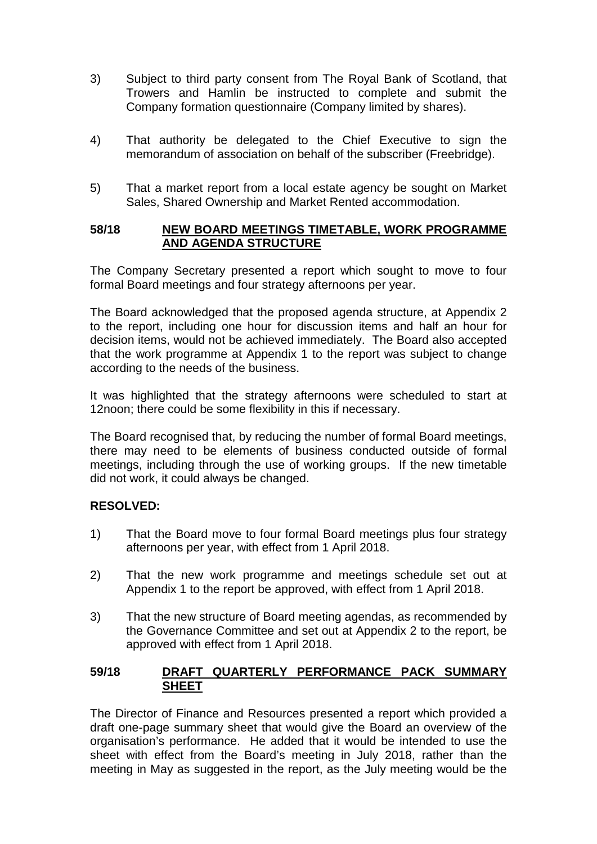- 3) Subject to third party consent from The Royal Bank of Scotland, that Trowers and Hamlin be instructed to complete and submit the Company formation questionnaire (Company limited by shares).
- 4) That authority be delegated to the Chief Executive to sign the memorandum of association on behalf of the subscriber (Freebridge).
- 5) That a market report from a local estate agency be sought on Market Sales, Shared Ownership and Market Rented accommodation.

### **58/18 NEW BOARD MEETINGS TIMETABLE, WORK PROGRAMME AND AGENDA STRUCTURE**

The Company Secretary presented a report which sought to move to four formal Board meetings and four strategy afternoons per year.

The Board acknowledged that the proposed agenda structure, at Appendix 2 to the report, including one hour for discussion items and half an hour for decision items, would not be achieved immediately. The Board also accepted that the work programme at Appendix 1 to the report was subject to change according to the needs of the business.

It was highlighted that the strategy afternoons were scheduled to start at 12noon; there could be some flexibility in this if necessary.

The Board recognised that, by reducing the number of formal Board meetings, there may need to be elements of business conducted outside of formal meetings, including through the use of working groups. If the new timetable did not work, it could always be changed.

### **RESOLVED:**

- 1) That the Board move to four formal Board meetings plus four strategy afternoons per year, with effect from 1 April 2018.
- 2) That the new work programme and meetings schedule set out at Appendix 1 to the report be approved, with effect from 1 April 2018.
- 3) That the new structure of Board meeting agendas, as recommended by the Governance Committee and set out at Appendix 2 to the report, be approved with effect from 1 April 2018.

### **59/18 DRAFT QUARTERLY PERFORMANCE PACK SUMMARY SHEET**

The Director of Finance and Resources presented a report which provided a draft one-page summary sheet that would give the Board an overview of the organisation's performance. He added that it would be intended to use the sheet with effect from the Board's meeting in July 2018, rather than the meeting in May as suggested in the report, as the July meeting would be the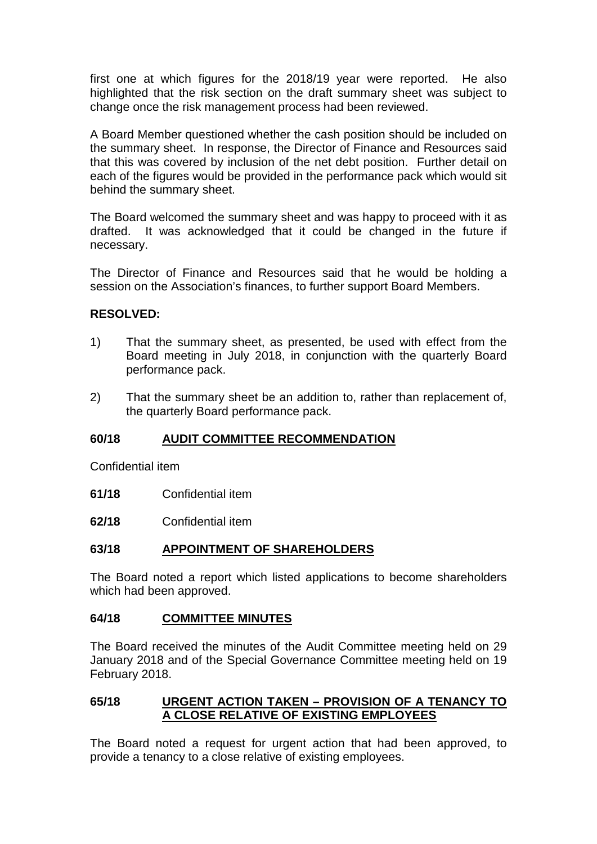first one at which figures for the 2018/19 year were reported. He also highlighted that the risk section on the draft summary sheet was subject to change once the risk management process had been reviewed.

A Board Member questioned whether the cash position should be included on the summary sheet. In response, the Director of Finance and Resources said that this was covered by inclusion of the net debt position. Further detail on each of the figures would be provided in the performance pack which would sit behind the summary sheet.

The Board welcomed the summary sheet and was happy to proceed with it as drafted. It was acknowledged that it could be changed in the future if necessary.

The Director of Finance and Resources said that he would be holding a session on the Association's finances, to further support Board Members.

### **RESOLVED:**

- 1) That the summary sheet, as presented, be used with effect from the Board meeting in July 2018, in conjunction with the quarterly Board performance pack.
- 2) That the summary sheet be an addition to, rather than replacement of, the quarterly Board performance pack.

### **60/18 AUDIT COMMITTEE RECOMMENDATION**

Confidential item

- **61/18** Confidential item
- **62/18** Confidential item

### **63/18 APPOINTMENT OF SHAREHOLDERS**

The Board noted a report which listed applications to become shareholders which had been approved.

#### **64/18 COMMITTEE MINUTES**

The Board received the minutes of the Audit Committee meeting held on 29 January 2018 and of the Special Governance Committee meeting held on 19 February 2018.

### **65/18 URGENT ACTION TAKEN – PROVISION OF A TENANCY TO A CLOSE RELATIVE OF EXISTING EMPLOYEES**

The Board noted a request for urgent action that had been approved, to provide a tenancy to a close relative of existing employees.